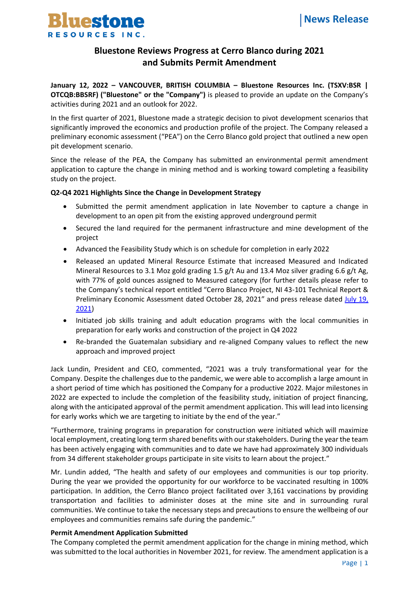

# **Bluestone Reviews Progress at Cerro Blanco during 2021 and Submits Permit Amendment**

**January 12, 2022 – VANCOUVER, BRITISH COLUMBIA – Bluestone Resources Inc. (TSXV:BSR | OTCQB:BBSRF) ("Bluestone" or the "Company")** is pleased to provide an update on the Company's activities during 2021 and an outlook for 2022.

In the first quarter of 2021, Bluestone made a strategic decision to pivot development scenarios that significantly improved the economics and production profile of the project. The Company released a preliminary economic assessment ("PEA") on the Cerro Blanco gold project that outlined a new open pit development scenario.

Since the release of the PEA, the Company has submitted an environmental permit amendment application to capture the change in mining method and is working toward completing a feasibility study on the project.

## **Q2-Q4 2021 Highlights Since the Change in Development Strategy**

- Submitted the permit amendment application in late November to capture a change in development to an open pit from the existing approved underground permit
- Secured the land required for the permanent infrastructure and mine development of the project
- Advanced the Feasibility Study which is on schedule for completion in early 2022
- Released an updated Mineral Resource Estimate that increased Measured and Indicated Mineral Resources to 3.1 Moz gold grading 1.5 g/t Au and 13.4 Moz silver grading 6.6 g/t Ag, with 77% of gold ounces assigned to Measured category (for further details please refer to the Company's technical report entitled "Cerro Blanco Project, NI 43-101 Technical Report & Preliminary Economic Assessment dated October 28, 2021" and press release dated July 19, [2021\)](https://bluestoneresources.ca/news/index.php?content_id=179)
- Initiated job skills training and adult education programs with the local communities in preparation for early works and construction of the project in Q4 2022
- Re-branded the Guatemalan subsidiary and re-aligned Company values to reflect the new approach and improved project

Jack Lundin, President and CEO, commented, "2021 was a truly transformational year for the Company. Despite the challenges due to the pandemic, we were able to accomplish a large amount in a short period of time which has positioned the Company for a productive 2022. Major milestones in 2022 are expected to include the completion of the feasibility study, initiation of project financing, along with the anticipated approval of the permit amendment application. This will lead into licensing for early works which we are targeting to initiate by the end of the year."

"Furthermore, training programs in preparation for construction were initiated which will maximize local employment, creating long term shared benefits with our stakeholders. During the year the team has been actively engaging with communities and to date we have had approximately 300 individuals from 34 different stakeholder groups participate in site visits to learn about the project."

Mr. Lundin added, "The health and safety of our employees and communities is our top priority. During the year we provided the opportunity for our workforce to be vaccinated resulting in 100% participation. In addition, the Cerro Blanco project facilitated over 3,161 vaccinations by providing transportation and facilities to administer doses at the mine site and in surrounding rural communities. We continue to take the necessary steps and precautions to ensure the wellbeing of our employees and communities remains safe during the pandemic."

#### **Permit Amendment Application Submitted**

The Company completed the permit amendment application for the change in mining method, which was submitted to the local authorities in November 2021, for review. The amendment application is a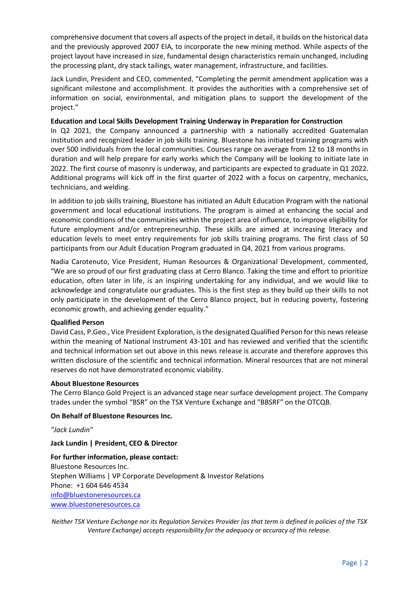comprehensive document that covers all aspects of the project in detail, it builds on the historical data and the previously approved 2007 EIA, to incorporate the new mining method. While aspects of the project layout have increased in size, fundamental design characteristics remain unchanged, including the processing plant, dry stack tailings, water management, infrastructure, and facilities.

Jack Lundin, President and CEO, commented, "Completing the permit amendment application was a significant milestone and accomplishment. It provides the authorities with a comprehensive set of information on social, environmental, and mitigation plans to support the development of the project."

### **Education and Local Skills Development Training Underway in Preparation for Construction**

In Q2 2021, the Company announced a partnership with a nationally accredited Guatemalan institution and recognized leader in job skills training. Bluestone has initiated training programs with over 500 individuals from the local communities. Courses range on average from 12 to 18 months in duration and will help prepare for early works which the Company will be looking to initiate late in 2022. The first course of masonry is underway, and participants are expected to graduate in Q1 2022. Additional programs will kick off in the first quarter of 2022 with a focus on carpentry, mechanics, technicians, and welding.

In addition to job skills training, Bluestone has initiated an Adult Education Program with the national government and local educational institutions. The program is aimed at enhancing the social and economic conditions of the communities within the project area of influence, to improve eligibility for future employment and/or entrepreneurship. These skills are aimed at increasing literacy and education levels to meet entry requirements for job skills training programs. The first class of 50 participants from our Adult Education Program graduated in Q4, 2021 from various programs.

Nadia Carotenuto, Vice President, Human Resources & Organizational Development, commented, "We are so proud of our first graduating class at Cerro Blanco. Taking the time and effort to prioritize education, often later in life, is an inspiring undertaking for any individual, and we would like to acknowledge and congratulate our graduates. This is the first step as they build up their skills to not only participate in the development of the Cerro Blanco project, but in reducing poverty, fostering economic growth, and achieving gender equality."

#### **Qualified Person**

David Cass, P.Geo., Vice President Exploration, is the designated Qualified Person for this news release within the meaning of National Instrument 43-101 and has reviewed and verified that the scientific and technical information set out above in this news release is accurate and therefore approves this written disclosure of the scientific and technical information. Mineral resources that are not mineral reserves do not have demonstrated economic viability.

#### **About Bluestone Resources**

The Cerro Blanco Gold Project is an advanced stage near surface development project. The Company trades under the symbol "BSR" on the TSX Venture Exchange and "BBSRF" on the OTCQB.

#### **On Behalf of Bluestone Resources Inc.**

*"Jack Lundin"*

**Jack Lundin | President, CEO & Director**

**For further information, please contact:** Bluestone Resources Inc. Stephen Williams | VP Corporate Development & Investor Relations Phone: +1 604 646 4534 [info@bluestoneresources.ca](mailto:info@bluestoneresources.ca) [www.bluestoneresources.ca](http://www.bluestoneresources.ca/) 

*Neither TSX Venture Exchange nor its Regulation Services Provider (as that term is defined in policies of the TSX Venture Exchange) accepts responsibility for the adequacy or accuracy of this release.*